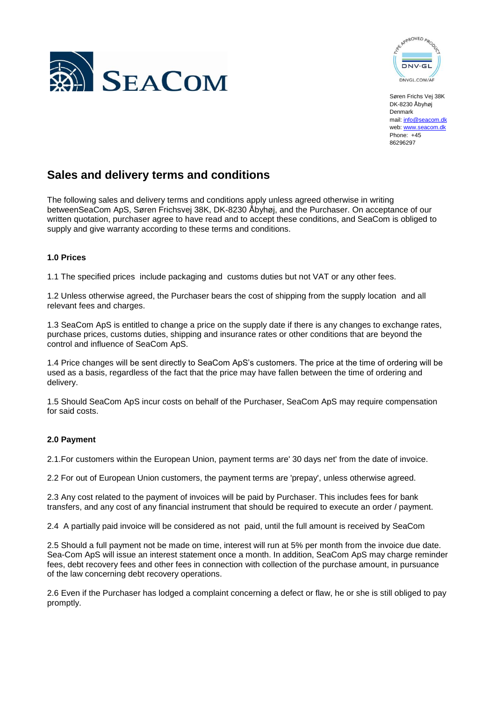



Søren Frichs Vej 38K DK-8230 Åbyhøj Denmark mail[: info@seacom.dk](mailto:info@seacom.dk) web[: www.seacom.dk](http://www.seacom.dk/) Phone: +45 86296297

# **Sales and delivery terms and conditions**

The following sales and delivery terms and conditions apply unless agreed otherwise in writing betweenSeaCom ApS, Søren Frichsvej 38K, DK-8230 Åbyhøj, and the Purchaser. On acceptance of our written quotation, purchaser agree to have read and to accept these conditions, and SeaCom is obliged to supply and give warranty according to these terms and conditions.

# **1.0 Prices**

1.1 The specified prices include packaging and customs duties but not VAT or any other fees.

1.2 Unless otherwise agreed, the Purchaser bears the cost of shipping from the supply location and all relevant fees and charges.

1.3 SeaCom ApS is entitled to change a price on the supply date if there is any changes to exchange rates, purchase prices, customs duties, shipping and insurance rates or other conditions that are beyond the control and influence of SeaCom ApS.

1.4 Price changes will be sent directly to SeaCom ApS's customers. The price at the time of ordering will be used as a basis, regardless of the fact that the price may have fallen between the time of ordering and delivery.

1.5 Should SeaCom ApS incur costs on behalf of the Purchaser, SeaCom ApS may require compensation for said costs.

# **2.0 Payment**

2.1.For customers within the European Union, payment terms are' 30 days net' from the date of invoice.

2.2 For out of European Union customers, the payment terms are 'prepay', unless otherwise agreed.

2.3 Any cost related to the payment of invoices will be paid by Purchaser. This includes fees for bank transfers, and any cost of any financial instrument that should be required to execute an order / payment.

2.4 A partially paid invoice will be considered as not paid, until the full amount is received by SeaCom

2.5 Should a full payment not be made on time, interest will run at 5% per month from the invoice due date. Sea-Com ApS will issue an interest statement once a month. In addition, SeaCom ApS may charge reminder fees, debt recovery fees and other fees in connection with collection of the purchase amount, in pursuance of the law concerning debt recovery operations.

2.6 Even if the Purchaser has lodged a complaint concerning a defect or flaw, he or she is still obliged to pay promptly.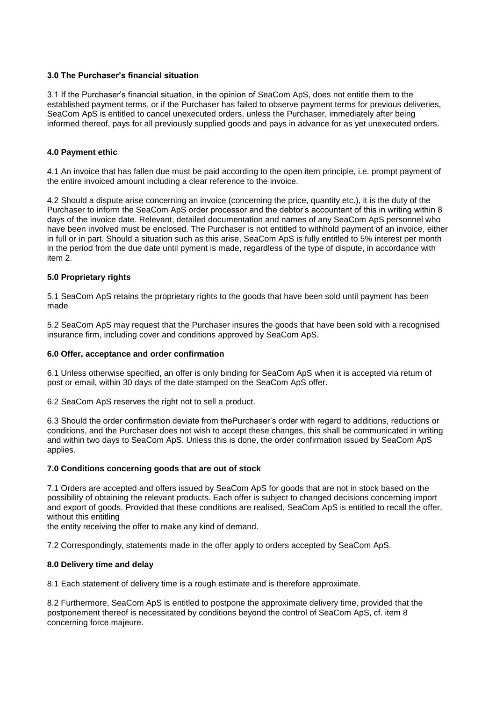# **3.0 The Purchaser's financial situation**

3.1 If the Purchaser's financial situation, in the opinion of SeaCom ApS, does not entitle them to the established payment terms, or if the Purchaser has failed to observe payment terms for previous deliveries, SeaCom ApS is entitled to cancel unexecuted orders, unless the Purchaser, immediately after being informed thereof, pays for all previously supplied goods and pays in advance for as yet unexecuted orders.

# **4.0 Payment ethic**

4.1 An invoice that has fallen due must be paid according to the open item principle, i.e. prompt payment of the entire invoiced amount including a clear reference to the invoice.

4.2 Should a dispute arise concerning an invoice (concerning the price, quantity etc.), it is the duty of the Purchaser to inform the SeaCom ApS order processor and the debtor's accountant of this in writing within 8 days of the invoice date. Relevant, detailed documentation and names of any SeaCom ApS personnel who have been involved must be enclosed. The Purchaser is not entitled to withhold payment of an invoice, either in full or in part. Should a situation such as this arise, SeaCom ApS is fully entitled to 5% interest per month in the period from the due date until pyment is made, regardless of the type of dispute, in accordance with item 2.

# **5.0 Proprietary rights**

5.1 SeaCom ApS retains the proprietary rights to the goods that have been sold until payment has been made

5.2 SeaCom ApS may request that the Purchaser insures the goods that have been sold with a recognised insurance firm, including cover and conditions approved by SeaCom ApS.

# **6.0 Offer, acceptance and order confirmation**

6.1 Unless otherwise specified, an offer is only binding for SeaCom ApS when it is accepted via return of post or email, within 30 days of the date stamped on the SeaCom ApS offer.

6.2 SeaCom ApS reserves the right not to sell a product.

6.3 Should the order confirmation deviate from thePurchaser's order with regard to additions, reductions or conditions, and the Purchaser does not wish to accept these changes, this shall be communicated in writing and within two days to SeaCom ApS. Unless this is done, the order confirmation issued by SeaCom ApS applies.

# **7.0 Conditions concerning goods that are out of stock**

7.1 Orders are accepted and offers issued by SeaCom ApS for goods that are not in stock based on the possibility of obtaining the relevant products. Each offer is subject to changed decisions concerning import and export of goods. Provided that these conditions are realised, SeaCom ApS is entitled to recall the offer, without this entitling

the entity receiving the offer to make any kind of demand.

7.2 Correspondingly, statements made in the offer apply to orders accepted by SeaCom ApS.

# **8.0 Delivery time and delay**

8.1 Each statement of delivery time is a rough estimate and is therefore approximate.

8.2 Furthermore, SeaCom ApS is entitled to postpone the approximate delivery time, provided that the postponement thereof is necessitated by conditions beyond the control of SeaCom ApS, cf. item 8 concerning force majeure.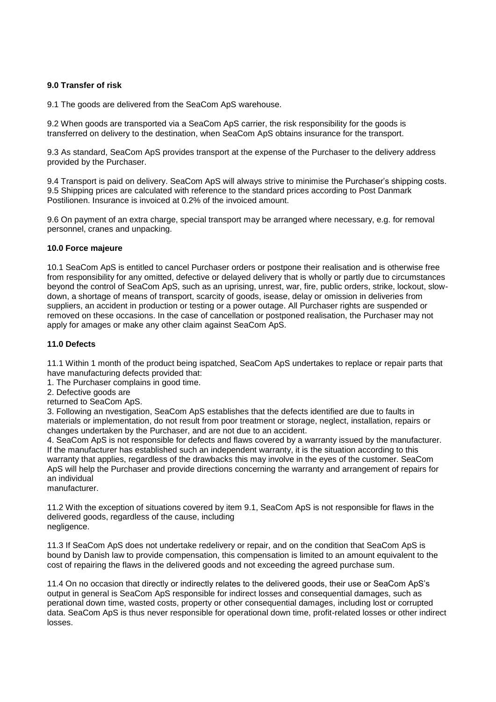### **9.0 Transfer of risk**

9.1 The goods are delivered from the SeaCom ApS warehouse.

9.2 When goods are transported via a SeaCom ApS carrier, the risk responsibility for the goods is transferred on delivery to the destination, when SeaCom ApS obtains insurance for the transport.

9.3 As standard, SeaCom ApS provides transport at the expense of the Purchaser to the delivery address provided by the Purchaser.

9.4 Transport is paid on delivery. SeaCom ApS will always strive to minimise the Purchaser's shipping costs. 9.5 Shipping prices are calculated with reference to the standard prices according to Post Danmark Postilionen. Insurance is invoiced at 0.2% of the invoiced amount.

9.6 On payment of an extra charge, special transport may be arranged where necessary, e.g. for removal personnel, cranes and unpacking.

#### **10.0 Force majeure**

10.1 SeaCom ApS is entitled to cancel Purchaser orders or postpone their realisation and is otherwise free from responsibility for any omitted, defective or delayed delivery that is wholly or partly due to circumstances beyond the control of SeaCom ApS, such as an uprising, unrest, war, fire, public orders, strike, lockout, slowdown, a shortage of means of transport, scarcity of goods, isease, delay or omission in deliveries from suppliers, an accident in production or testing or a power outage. All Purchaser rights are suspended or removed on these occasions. In the case of cancellation or postponed realisation, the Purchaser may not apply for amages or make any other claim against SeaCom ApS.

#### **11.0 Defects**

11.1 Within 1 month of the product being ispatched, SeaCom ApS undertakes to replace or repair parts that have manufacturing defects provided that:

1. The Purchaser complains in good time.

2. Defective goods are

returned to SeaCom ApS.

3. Following an nvestigation, SeaCom ApS establishes that the defects identified are due to faults in materials or implementation, do not result from poor treatment or storage, neglect, installation, repairs or changes undertaken by the Purchaser, and are not due to an accident.

4. SeaCom ApS is not responsible for defects and flaws covered by a warranty issued by the manufacturer. If the manufacturer has established such an independent warranty, it is the situation according to this warranty that applies, regardless of the drawbacks this may involve in the eyes of the customer. SeaCom ApS will help the Purchaser and provide directions concerning the warranty and arrangement of repairs for an individual

manufacturer.

11.2 With the exception of situations covered by item 9.1, SeaCom ApS is not responsible for flaws in the delivered goods, regardless of the cause, including negligence.

11.3 If SeaCom ApS does not undertake redelivery or repair, and on the condition that SeaCom ApS is bound by Danish law to provide compensation, this compensation is limited to an amount equivalent to the cost of repairing the flaws in the delivered goods and not exceeding the agreed purchase sum.

11.4 On no occasion that directly or indirectly relates to the delivered goods, their use or SeaCom ApS's output in general is SeaCom ApS responsible for indirect losses and consequential damages, such as perational down time, wasted costs, property or other consequential damages, including lost or corrupted data. SeaCom ApS is thus never responsible for operational down time, profit-related losses or other indirect losses.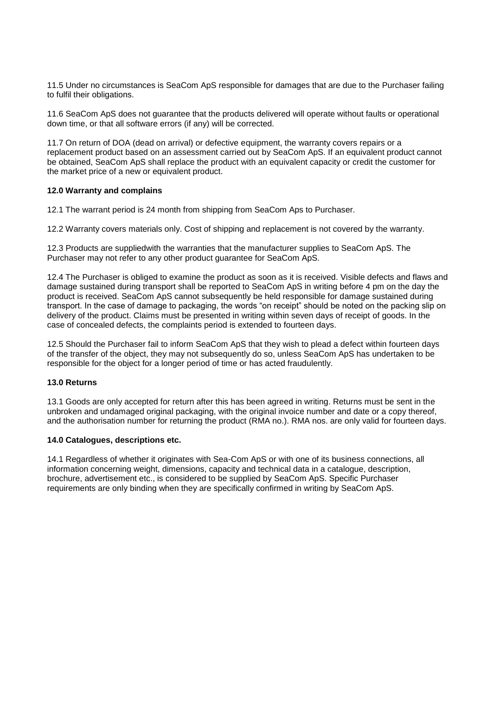11.5 Under no circumstances is SeaCom ApS responsible for damages that are due to the Purchaser failing to fulfil their obligations.

11.6 SeaCom ApS does not guarantee that the products delivered will operate without faults or operational down time, or that all software errors (if any) will be corrected.

11.7 On return of DOA (dead on arrival) or defective equipment, the warranty covers repairs or a replacement product based on an assessment carried out by SeaCom ApS. If an equivalent product cannot be obtained, SeaCom ApS shall replace the product with an equivalent capacity or credit the customer for the market price of a new or equivalent product.

#### **12.0 Warranty and complains**

12.1 The warrant period is 24 month from shipping from SeaCom Aps to Purchaser.

12.2 Warranty covers materials only. Cost of shipping and replacement is not covered by the warranty.

12.3 Products are suppliedwith the warranties that the manufacturer supplies to SeaCom ApS. The Purchaser may not refer to any other product guarantee for SeaCom ApS.

12.4 The Purchaser is obliged to examine the product as soon as it is received. Visible defects and flaws and damage sustained during transport shall be reported to SeaCom ApS in writing before 4 pm on the day the product is received. SeaCom ApS cannot subsequently be held responsible for damage sustained during transport. In the case of damage to packaging, the words "on receipt" should be noted on the packing slip on delivery of the product. Claims must be presented in writing within seven days of receipt of goods. In the case of concealed defects, the complaints period is extended to fourteen days.

12.5 Should the Purchaser fail to inform SeaCom ApS that they wish to plead a defect within fourteen days of the transfer of the object, they may not subsequently do so, unless SeaCom ApS has undertaken to be responsible for the object for a longer period of time or has acted fraudulently.

# **13.0 Returns**

13.1 Goods are only accepted for return after this has been agreed in writing. Returns must be sent in the unbroken and undamaged original packaging, with the original invoice number and date or a copy thereof, and the authorisation number for returning the product (RMA no.). RMA nos. are only valid for fourteen days.

#### **14.0 Catalogues, descriptions etc.**

14.1 Regardless of whether it originates with Sea-Com ApS or with one of its business connections, all information concerning weight, dimensions, capacity and technical data in a catalogue, description, brochure, advertisement etc., is considered to be supplied by SeaCom ApS. Specific Purchaser requirements are only binding when they are specifically confirmed in writing by SeaCom ApS.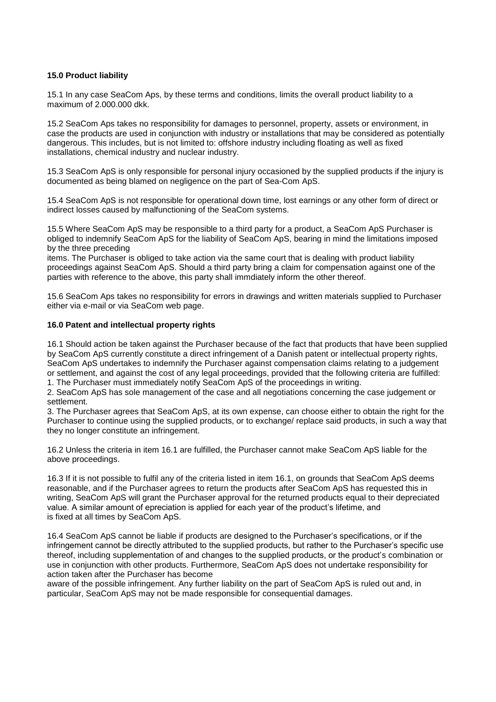# **15.0 Product liability**

15.1 In any case SeaCom Aps, by these terms and conditions, limits the overall product liability to a maximum of 2.000.000 dkk.

15.2 SeaCom Aps takes no responsibility for damages to personnel, property, assets or environment, in case the products are used in conjunction with industry or installations that may be considered as potentially dangerous. This includes, but is not limited to: offshore industry including floating as well as fixed installations, chemical industry and nuclear industry.

15.3 SeaCom ApS is only responsible for personal injury occasioned by the supplied products if the injury is documented as being blamed on negligence on the part of Sea-Com ApS.

15.4 SeaCom ApS is not responsible for operational down time, lost earnings or any other form of direct or indirect losses caused by malfunctioning of the SeaCom systems.

15.5 Where SeaCom ApS may be responsible to a third party for a product, a SeaCom ApS Purchaser is obliged to indemnify SeaCom ApS for the liability of SeaCom ApS, bearing in mind the limitations imposed by the three preceding

items. The Purchaser is obliged to take action via the same court that is dealing with product liability proceedings against SeaCom ApS. Should a third party bring a claim for compensation against one of the parties with reference to the above, this party shall immdiately inform the other thereof.

15.6 SeaCom Aps takes no responsibility for errors in drawings and written materials supplied to Purchaser either via e-mail or via SeaCom web page.

#### **16.0 Patent and intellectual property rights**

16.1 Should action be taken against the Purchaser because of the fact that products that have been supplied by SeaCom ApS currently constitute a direct infringement of a Danish patent or intellectual property rights, SeaCom ApS undertakes to indemnify the Purchaser against compensation claims relating to a judgement or settlement, and against the cost of any legal proceedings, provided that the following criteria are fulfilled: 1. The Purchaser must immediately notify SeaCom ApS of the proceedings in writing.

2. SeaCom ApS has sole management of the case and all negotiations concerning the case judgement or settlement.

3. The Purchaser agrees that SeaCom ApS, at its own expense, can choose either to obtain the right for the Purchaser to continue using the supplied products, or to exchange/ replace said products, in such a way that they no longer constitute an infringement.

16.2 Unless the criteria in item 16.1 are fulfilled, the Purchaser cannot make SeaCom ApS liable for the above proceedings.

16.3 If it is not possible to fulfil any of the criteria listed in item 16.1, on grounds that SeaCom ApS deems reasonable, and if the Purchaser agrees to return the products after SeaCom ApS has requested this in writing, SeaCom ApS will grant the Purchaser approval for the returned products equal to their depreciated value. A similar amount of epreciation is applied for each year of the product's lifetime, and is fixed at all times by SeaCom ApS.

16.4 SeaCom ApS cannot be liable if products are designed to the Purchaser's specifications, or if the infringement cannot be directly attributed to the supplied products, but rather to the Purchaser's specific use thereof, including supplementation of and changes to the supplied products, or the product's combination or use in conjunction with other products. Furthermore, SeaCom ApS does not undertake responsibility for action taken after the Purchaser has become

aware of the possible infringement. Any further liability on the part of SeaCom ApS is ruled out and, in particular, SeaCom ApS may not be made responsible for consequential damages.